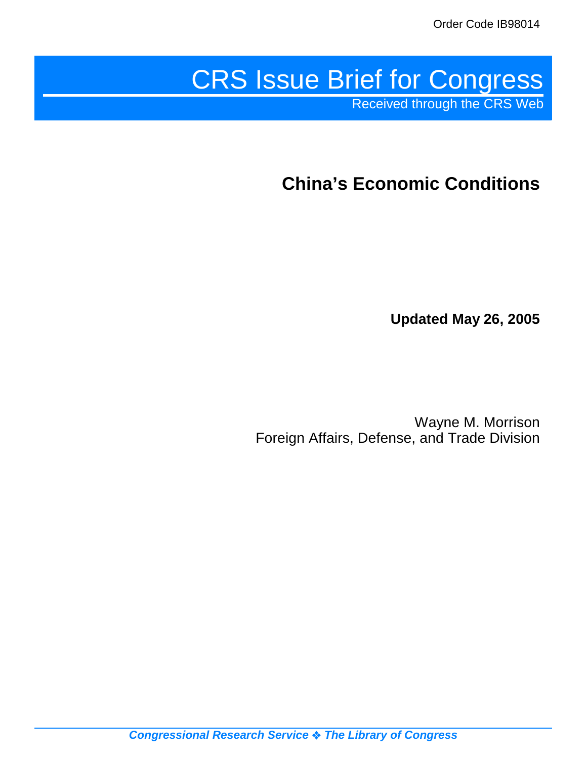# CRS Issue Brief for Congress

Received through the CRS Web

**China's Economic Conditions**

**Updated May 26, 2005**

Wayne M. Morrison Foreign Affairs, Defense, and Trade Division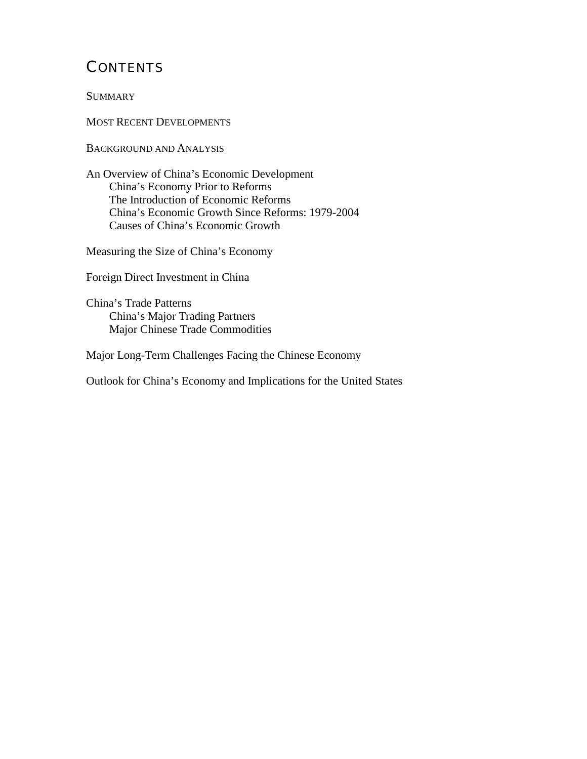# **CONTENTS**

**SUMMARY** 

MOST RECENT DEVELOPMENTS

BACKGROUND AND ANALYSIS

An Overview of China's Economic Development China's Economy Prior to Reforms The Introduction of Economic Reforms China's Economic Growth Since Reforms: 1979-2004 Causes of China's Economic Growth

Measuring the Size of China's Economy

Foreign Direct Investment in China

China's Trade Patterns China's Major Trading Partners Major Chinese Trade Commodities

Major Long-Term Challenges Facing the Chinese Economy

Outlook for China's Economy and Implications for the United States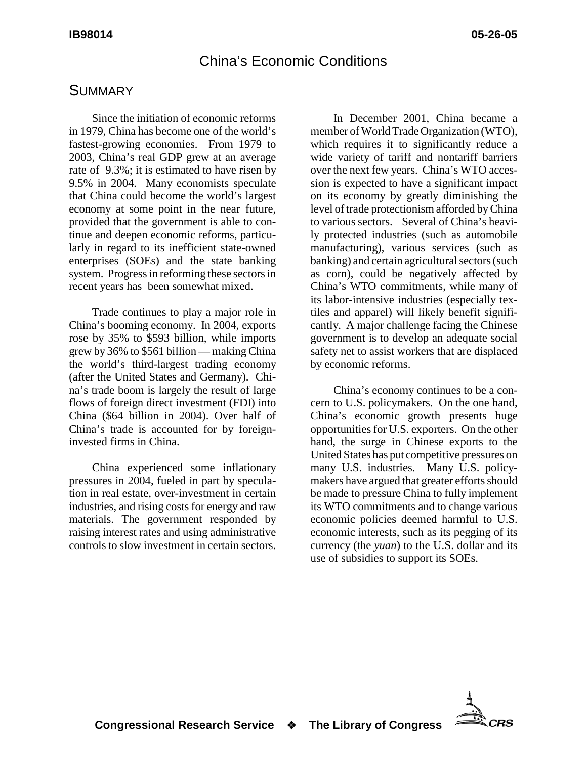## China's Economic Conditions

## **SUMMARY**

Since the initiation of economic reforms in 1979, China has become one of the world's fastest-growing economies. From 1979 to 2003, China's real GDP grew at an average rate of 9.3%; it is estimated to have risen by 9.5% in 2004. Many economists speculate that China could become the world's largest economy at some point in the near future, provided that the government is able to continue and deepen economic reforms, particularly in regard to its inefficient state-owned enterprises (SOEs) and the state banking system. Progress in reforming these sectors in recent years has been somewhat mixed.

Trade continues to play a major role in China's booming economy. In 2004, exports rose by 35% to \$593 billion, while imports grew by 36% to \$561 billion — making China the world's third-largest trading economy (after the United States and Germany). China's trade boom is largely the result of large flows of foreign direct investment (FDI) into China (\$64 billion in 2004). Over half of China's trade is accounted for by foreigninvested firms in China.

China experienced some inflationary pressures in 2004, fueled in part by speculation in real estate, over-investment in certain industries, and rising costs for energy and raw materials. The government responded by raising interest rates and using administrative controls to slow investment in certain sectors.

In December 2001, China became a member of World Trade Organization (WTO), which requires it to significantly reduce a wide variety of tariff and nontariff barriers over the next few years. China's WTO accession is expected to have a significant impact on its economy by greatly diminishing the level of trade protectionism afforded by China to various sectors. Several of China's heavily protected industries (such as automobile manufacturing), various services (such as banking) and certain agricultural sectors (such as corn), could be negatively affected by China's WTO commitments, while many of its labor-intensive industries (especially textiles and apparel) will likely benefit significantly. A major challenge facing the Chinese government is to develop an adequate social safety net to assist workers that are displaced by economic reforms.

China's economy continues to be a concern to U.S. policymakers. On the one hand, China's economic growth presents huge opportunities for U.S. exporters. On the other hand, the surge in Chinese exports to the United States has put competitive pressures on many U.S. industries. Many U.S. policymakers have argued that greater efforts should be made to pressure China to fully implement its WTO commitments and to change various economic policies deemed harmful to U.S. economic interests, such as its pegging of its currency (the *yuan*) to the U.S. dollar and its use of subsidies to support its SOEs.

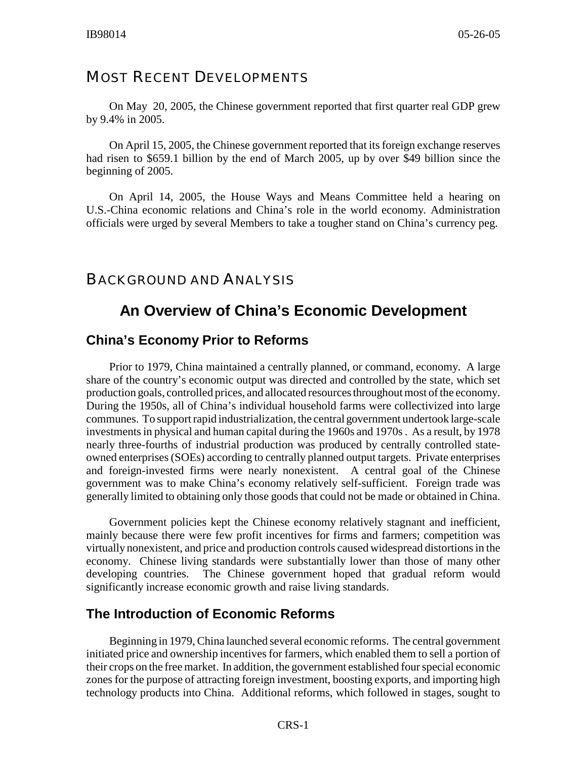## MOST RECENT DEVELOPMENTS

On May 20, 2005, the Chinese government reported that first quarter real GDP grew by 9.4% in 2005.

On April 15, 2005, the Chinese government reported that its foreign exchange reserves had risen to \$659.1 billion by the end of March 2005, up by over \$49 billion since the beginning of 2005.

On April 14, 2005, the House Ways and Means Committee held a hearing on U.S.-China economic relations and China's role in the world economy. Administration officials were urged by several Members to take a tougher stand on China's currency peg.

# BACKGROUND AND ANALYSIS

# **An Overview of China's Economic Development**

## **China's Economy Prior to Reforms**

Prior to 1979, China maintained a centrally planned, or command, economy. A large share of the country's economic output was directed and controlled by the state, which set production goals, controlled prices, and allocated resources throughout most of the economy. During the 1950s, all of China's individual household farms were collectivized into large communes. To support rapid industrialization, the central government undertook large-scale investments in physical and human capital during the 1960s and 1970s . As a result, by 1978 nearly three-fourths of industrial production was produced by centrally controlled stateowned enterprises (SOEs) according to centrally planned output targets. Private enterprises and foreign-invested firms were nearly nonexistent. A central goal of the Chinese government was to make China's economy relatively self-sufficient. Foreign trade was generally limited to obtaining only those goods that could not be made or obtained in China.

Government policies kept the Chinese economy relatively stagnant and inefficient, mainly because there were few profit incentives for firms and farmers; competition was virtually nonexistent, and price and production controls caused widespread distortions in the economy. Chinese living standards were substantially lower than those of many other developing countries. The Chinese government hoped that gradual reform would significantly increase economic growth and raise living standards.

## **The Introduction of Economic Reforms**

Beginning in 1979, China launched several economic reforms. The central government initiated price and ownership incentives for farmers, which enabled them to sell a portion of their crops on the free market. In addition, the government established four special economic zones for the purpose of attracting foreign investment, boosting exports, and importing high technology products into China. Additional reforms, which followed in stages, sought to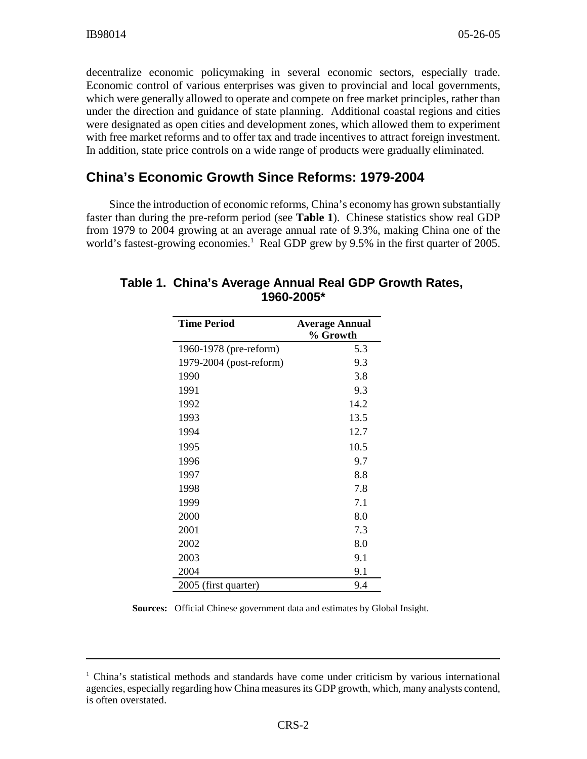decentralize economic policymaking in several economic sectors, especially trade. Economic control of various enterprises was given to provincial and local governments, which were generally allowed to operate and compete on free market principles, rather than under the direction and guidance of state planning. Additional coastal regions and cities were designated as open cities and development zones, which allowed them to experiment with free market reforms and to offer tax and trade incentives to attract foreign investment. In addition, state price controls on a wide range of products were gradually eliminated.

## **China's Economic Growth Since Reforms: 1979-2004**

Since the introduction of economic reforms, China's economy has grown substantially faster than during the pre-reform period (see **Table 1**). Chinese statistics show real GDP from 1979 to 2004 growing at an average annual rate of 9.3%, making China one of the world's fastest-growing economies.<sup>1</sup> Real GDP grew by 9.5% in the first quarter of 2005.

| <b>Time Period</b>      | <b>Average Annual</b> |
|-------------------------|-----------------------|
|                         | % Growth              |
| 1960-1978 (pre-reform)  | 5.3                   |
| 1979-2004 (post-reform) | 9.3                   |
| 1990                    | 3.8                   |
| 1991                    | 9.3                   |
| 1992                    | 14.2                  |
| 1993                    | 13.5                  |
| 1994                    | 12.7                  |
| 1995                    | 10.5                  |
| 1996                    | 9.7                   |
| 1997                    | 8.8                   |
| 1998                    | 7.8                   |
| 1999                    | 7.1                   |
| 2000                    | 8.0                   |
| 2001                    | 7.3                   |
| 2002                    | 8.0                   |
| 2003                    | 9.1                   |
| 2004                    | 9.1                   |
| 2005 (first quarter)    | 9.4                   |

#### **Table 1. China's Average Annual Real GDP Growth Rates, 1960-2005\***

**Sources:** Official Chinese government data and estimates by Global Insight.

<sup>&</sup>lt;sup>1</sup> China's statistical methods and standards have come under criticism by various international agencies, especially regarding how China measures its GDP growth, which, many analysts contend, is often overstated.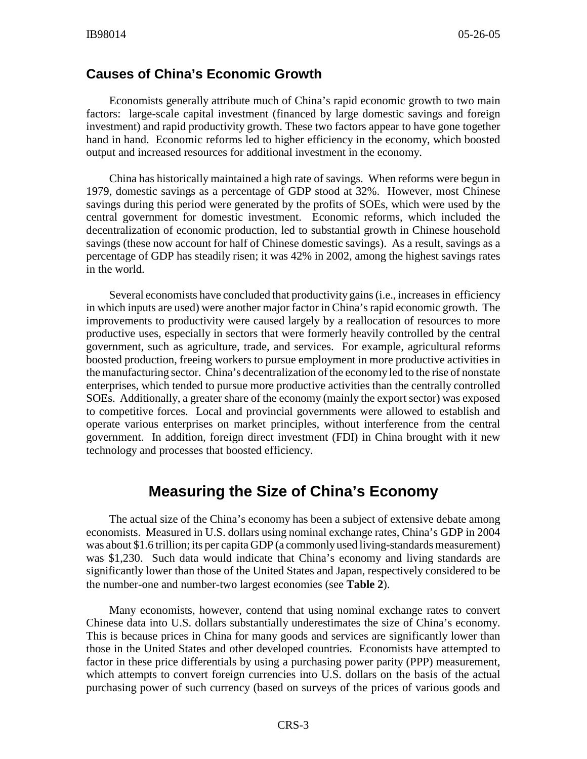### **Causes of China's Economic Growth**

Economists generally attribute much of China's rapid economic growth to two main factors: large-scale capital investment (financed by large domestic savings and foreign investment) and rapid productivity growth. These two factors appear to have gone together hand in hand. Economic reforms led to higher efficiency in the economy, which boosted output and increased resources for additional investment in the economy.

China has historically maintained a high rate of savings. When reforms were begun in 1979, domestic savings as a percentage of GDP stood at 32%. However, most Chinese savings during this period were generated by the profits of SOEs, which were used by the central government for domestic investment. Economic reforms, which included the decentralization of economic production, led to substantial growth in Chinese household savings (these now account for half of Chinese domestic savings). As a result, savings as a percentage of GDP has steadily risen; it was 42% in 2002, among the highest savings rates in the world.

Several economists have concluded that productivity gains (i.e., increases in efficiency in which inputs are used) were another major factor in China's rapid economic growth. The improvements to productivity were caused largely by a reallocation of resources to more productive uses, especially in sectors that were formerly heavily controlled by the central government, such as agriculture, trade, and services. For example, agricultural reforms boosted production, freeing workers to pursue employment in more productive activities in the manufacturing sector. China's decentralization of the economy led to the rise of nonstate enterprises, which tended to pursue more productive activities than the centrally controlled SOEs. Additionally, a greater share of the economy (mainly the export sector) was exposed to competitive forces. Local and provincial governments were allowed to establish and operate various enterprises on market principles, without interference from the central government. In addition, foreign direct investment (FDI) in China brought with it new technology and processes that boosted efficiency.

# **Measuring the Size of China's Economy**

The actual size of the China's economy has been a subject of extensive debate among economists. Measured in U.S. dollars using nominal exchange rates, China's GDP in 2004 was about \$1.6 trillion; its per capita GDP (a commonly used living-standards measurement) was \$1,230. Such data would indicate that China's economy and living standards are significantly lower than those of the United States and Japan, respectively considered to be the number-one and number-two largest economies (see **Table 2**).

Many economists, however, contend that using nominal exchange rates to convert Chinese data into U.S. dollars substantially underestimates the size of China's economy. This is because prices in China for many goods and services are significantly lower than those in the United States and other developed countries. Economists have attempted to factor in these price differentials by using a purchasing power parity (PPP) measurement, which attempts to convert foreign currencies into U.S. dollars on the basis of the actual purchasing power of such currency (based on surveys of the prices of various goods and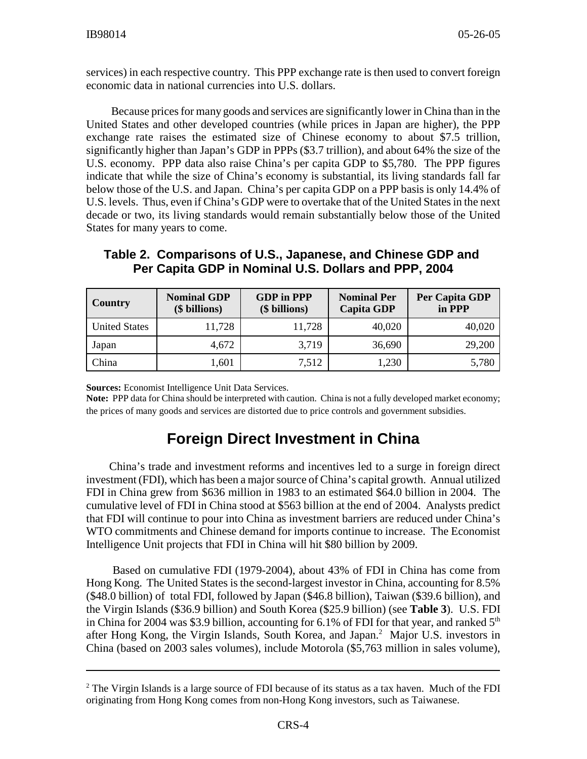services) in each respective country. This PPP exchange rate is then used to convert foreign economic data in national currencies into U.S. dollars.

 Because prices for many goods and services are significantly lower in China than in the United States and other developed countries (while prices in Japan are higher), the PPP exchange rate raises the estimated size of Chinese economy to about \$7.5 trillion, significantly higher than Japan's GDP in PPPs (\$3.7 trillion), and about 64% the size of the U.S. economy. PPP data also raise China's per capita GDP to \$5,780. The PPP figures indicate that while the size of China's economy is substantial, its living standards fall far below those of the U.S. and Japan. China's per capita GDP on a PPP basis is only 14.4% of U.S. levels. Thus, even if China's GDP were to overtake that of the United States in the next decade or two, its living standards would remain substantially below those of the United States for many years to come.

| Country              | <b>Nominal GDP</b><br>(\$ billions) | <b>GDP</b> in PPP<br>(\$ billions) | <b>Nominal Per</b><br><b>Capita GDP</b> | Per Capita GDP<br>in PPP |
|----------------------|-------------------------------------|------------------------------------|-----------------------------------------|--------------------------|
| <b>United States</b> | 11,728                              | 11,728                             | 40,020                                  | 40,020                   |
| Japan                | 4,672                               | 3,719                              | 36,690                                  | 29,200                   |
| China                | 1,601                               | 7,512                              | 1,230                                   | 5,780                    |

#### **Table 2. Comparisons of U.S., Japanese, and Chinese GDP and Per Capita GDP in Nominal U.S. Dollars and PPP, 2004**

**Sources:** Economist Intelligence Unit Data Services.

**Note:** PPP data for China should be interpreted with caution. China is not a fully developed market economy; the prices of many goods and services are distorted due to price controls and government subsidies.

# **Foreign Direct Investment in China**

China's trade and investment reforms and incentives led to a surge in foreign direct investment (FDI), which has been a major source of China's capital growth. Annual utilized FDI in China grew from \$636 million in 1983 to an estimated \$64.0 billion in 2004. The cumulative level of FDI in China stood at \$563 billion at the end of 2004. Analysts predict that FDI will continue to pour into China as investment barriers are reduced under China's WTO commitments and Chinese demand for imports continue to increase. The Economist Intelligence Unit projects that FDI in China will hit \$80 billion by 2009.

 Based on cumulative FDI (1979-2004), about 43% of FDI in China has come from Hong Kong. The United States is the second-largest investor in China, accounting for 8.5% (\$48.0 billion) of total FDI, followed by Japan (\$46.8 billion), Taiwan (\$39.6 billion), and the Virgin Islands (\$36.9 billion) and South Korea (\$25.9 billion) (see **Table 3**). U.S. FDI in China for 2004 was \$3.9 billion, accounting for 6.1% of FDI for that year, and ranked  $5<sup>th</sup>$ after Hong Kong, the Virgin Islands, South Korea, and Japan.<sup>2</sup> Major U.S. investors in China (based on 2003 sales volumes), include Motorola (\$5,763 million in sales volume),

 $2$  The Virgin Islands is a large source of FDI because of its status as a tax haven. Much of the FDI originating from Hong Kong comes from non-Hong Kong investors, such as Taiwanese.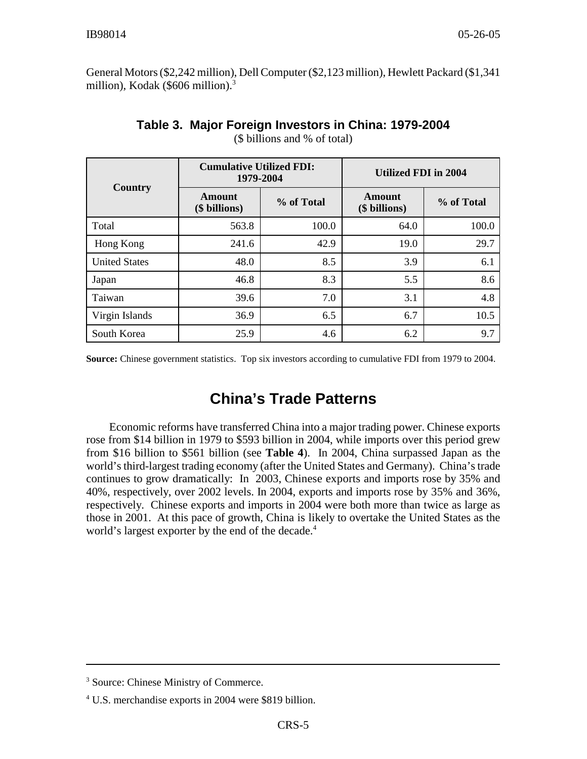General Motors (\$2,242 million), Dell Computer (\$2,123 million), Hewlett Packard (\$1,341 million), Kodak (\$606 million). $3$ 

| Country              | <b>Cumulative Utilized FDI:</b><br>1979-2004 |            | <b>Utilized FDI in 2004</b> |            |  |
|----------------------|----------------------------------------------|------------|-----------------------------|------------|--|
|                      | Amount<br>(\$ billions)                      | % of Total | Amount<br>(\$ billions)     | % of Total |  |
| Total                | 563.8                                        | 100.0      | 64.0                        | 100.0      |  |
| Hong Kong            | 241.6                                        | 42.9       | 19.0                        | 29.7       |  |
| <b>United States</b> | 48.0                                         | 8.5        | 3.9                         | 6.1        |  |
| Japan                | 46.8                                         | 8.3        | 5.5                         | 8.6        |  |
| Taiwan               | 39.6                                         | 7.0        | 3.1                         | 4.8        |  |
| Virgin Islands       | 36.9                                         | 6.5        | 6.7                         | 10.5       |  |
| South Korea          | 25.9                                         | 4.6        | 6.2                         | 9.7        |  |

### **Table 3. Major Foreign Investors in China: 1979-2004**

(\$ billions and % of total)

**Source:** Chinese government statistics. Top six investors according to cumulative FDI from 1979 to 2004.

# **China's Trade Patterns**

Economic reforms have transferred China into a major trading power. Chinese exports rose from \$14 billion in 1979 to \$593 billion in 2004, while imports over this period grew from \$16 billion to \$561 billion (see **Table 4**). In 2004, China surpassed Japan as the world's third-largest trading economy (after the United States and Germany). China's trade continues to grow dramatically: In 2003, Chinese exports and imports rose by 35% and 40%, respectively, over 2002 levels. In 2004, exports and imports rose by 35% and 36%, respectively. Chinese exports and imports in 2004 were both more than twice as large as those in 2001. At this pace of growth, China is likely to overtake the United States as the world's largest exporter by the end of the decade.<sup>4</sup>

<sup>3</sup> Source: Chinese Ministry of Commerce.

<sup>4</sup> U.S. merchandise exports in 2004 were \$819 billion.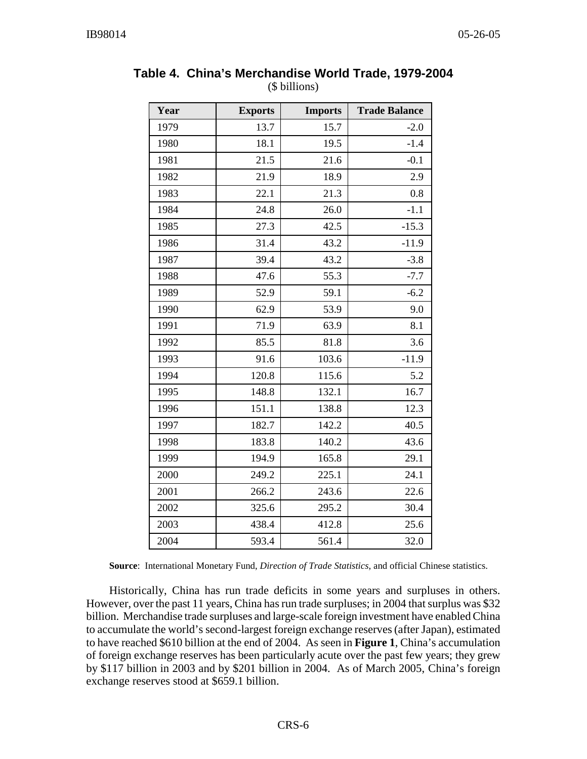| Year | <b>Exports</b> | <b>Imports</b> | <b>Trade Balance</b> |
|------|----------------|----------------|----------------------|
| 1979 | 13.7           | 15.7           | $-2.0$               |
| 1980 | 18.1           | 19.5           | $-1.4$               |
| 1981 | 21.5           | 21.6           | $-0.1$               |
| 1982 | 21.9           | 18.9           | 2.9                  |
| 1983 | 22.1           | 21.3           | 0.8                  |
| 1984 | 24.8           | 26.0           | $-1.1$               |
| 1985 | 27.3           | 42.5           | $-15.3$              |
| 1986 | 31.4           | 43.2           | $-11.9$              |
| 1987 | 39.4           | 43.2           | $-3.8$               |
| 1988 | 47.6           | 55.3           | $-7.7$               |
| 1989 | 52.9           | 59.1           | $-6.2$               |
| 1990 | 62.9           | 53.9           | 9.0                  |
| 1991 | 71.9           | 63.9           | 8.1                  |
| 1992 | 85.5           | 81.8           | 3.6                  |
| 1993 | 91.6           | 103.6          | $-11.9$              |
| 1994 | 120.8          | 115.6          | 5.2                  |
| 1995 | 148.8          | 132.1          | 16.7                 |
| 1996 | 151.1          | 138.8          | 12.3                 |
| 1997 | 182.7          | 142.2          | 40.5                 |
| 1998 | 183.8          | 140.2          | 43.6                 |
| 1999 | 194.9          | 165.8          | 29.1                 |
| 2000 | 249.2          | 225.1          | 24.1                 |
| 2001 | 266.2          | 243.6          | 22.6                 |
| 2002 | 325.6          | 295.2          | 30.4                 |
| 2003 | 438.4          | 412.8          | 25.6                 |
| 2004 | 593.4          | 561.4          | 32.0                 |

#### **Table 4. China's Merchandise World Trade, 1979-2004** (\$ billions)

**Source**: International Monetary Fund, *Direction of Trade Statistics*, and official Chinese statistics.

Historically, China has run trade deficits in some years and surpluses in others. However, over the past 11 years, China has run trade surpluses; in 2004 that surplus was \$32 billion. Merchandise trade surpluses and large-scale foreign investment have enabled China to accumulate the world's second-largest foreign exchange reserves (after Japan), estimated to have reached \$610 billion at the end of 2004. As seen in **Figure 1**, China's accumulation of foreign exchange reserves has been particularly acute over the past few years; they grew by \$117 billion in 2003 and by \$201 billion in 2004. As of March 2005, China's foreign exchange reserves stood at \$659.1 billion.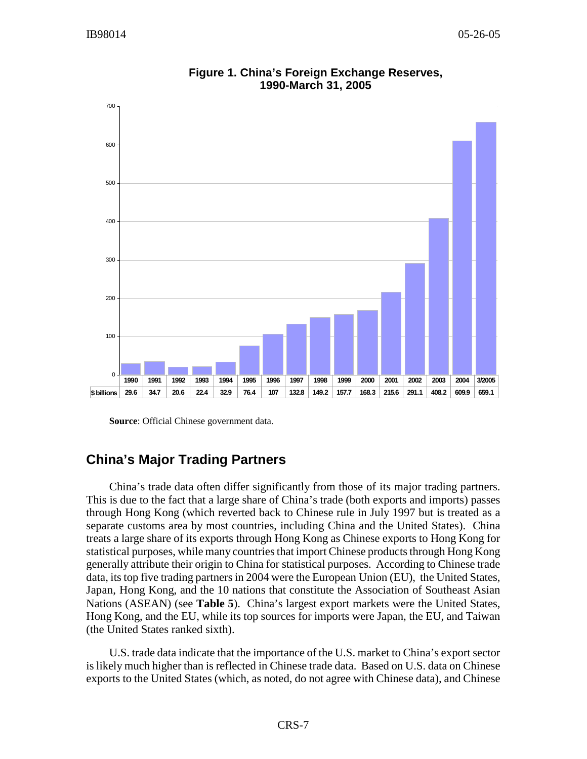

**Figure 1. China's Foreign Exchange Reserves, 1990-March 31, 2005**

**Source**: Official Chinese government data.

#### **China's Major Trading Partners**

China's trade data often differ significantly from those of its major trading partners. This is due to the fact that a large share of China's trade (both exports and imports) passes through Hong Kong (which reverted back to Chinese rule in July 1997 but is treated as a separate customs area by most countries, including China and the United States). China treats a large share of its exports through Hong Kong as Chinese exports to Hong Kong for statistical purposes, while many countries that import Chinese products through Hong Kong generally attribute their origin to China for statistical purposes. According to Chinese trade data, its top five trading partners in 2004 were the European Union (EU), the United States, Japan, Hong Kong, and the 10 nations that constitute the Association of Southeast Asian Nations (ASEAN) (see **Table 5**). China's largest export markets were the United States, Hong Kong, and the EU, while its top sources for imports were Japan, the EU, and Taiwan (the United States ranked sixth).

U.S. trade data indicate that the importance of the U.S. market to China's export sector is likely much higher than is reflected in Chinese trade data. Based on U.S. data on Chinese exports to the United States (which, as noted, do not agree with Chinese data), and Chinese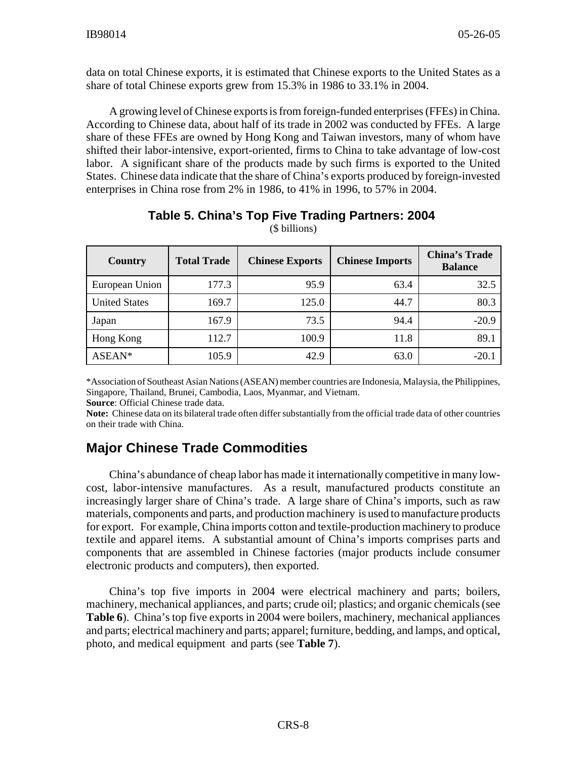data on total Chinese exports, it is estimated that Chinese exports to the United States as a share of total Chinese exports grew from 15.3% in 1986 to 33.1% in 2004.

A growing level of Chinese exports is from foreign-funded enterprises (FFEs) in China. According to Chinese data, about half of its trade in 2002 was conducted by FFEs. A large share of these FFEs are owned by Hong Kong and Taiwan investors, many of whom have shifted their labor-intensive, export-oriented, firms to China to take advantage of low-cost labor. A significant share of the products made by such firms is exported to the United States. Chinese data indicate that the share of China's exports produced by foreign-invested enterprises in China rose from 2% in 1986, to 41% in 1996, to 57% in 2004.

# **Country** Total Trade Chinese Exports Chinese Imports China's Trade **Balance** European Union 177.3 95.9 63.4 32.5 United States  $169.7$  125.0 44.7 80.3 Japan 167.9 73.5 94.4 -20.9 Hong Kong | 112.7 | 100.9 | 11.8 | 89.1  $\text{ASEAN*}$  105.9 42.9 63.0 -20.1

## **Table 5. China's Top Five Trading Partners: 2004**

(\$ billions)

\*Association of Southeast Asian Nations (ASEAN) member countries are Indonesia, Malaysia, the Philippines, Singapore, Thailand, Brunei, Cambodia, Laos, Myanmar, and Vietnam.

**Source**: Official Chinese trade data.

**Note:** Chinese data on its bilateral trade often differ substantially from the official trade data of other countries on their trade with China.

## **Major Chinese Trade Commodities**

China's abundance of cheap labor has made it internationally competitive in many lowcost, labor-intensive manufactures. As a result, manufactured products constitute an increasingly larger share of China's trade. A large share of China's imports, such as raw materials, components and parts, and production machinery is used to manufacture products for export. For example, China imports cotton and textile-production machinery to produce textile and apparel items. A substantial amount of China's imports comprises parts and components that are assembled in Chinese factories (major products include consumer electronic products and computers), then exported.

China's top five imports in 2004 were electrical machinery and parts; boilers, machinery, mechanical appliances, and parts; crude oil; plastics; and organic chemicals (see **Table 6**). China's top five exports in 2004 were boilers, machinery, mechanical appliances and parts; electrical machinery and parts; apparel; furniture, bedding, and lamps, and optical, photo, and medical equipment and parts (see **Table 7**).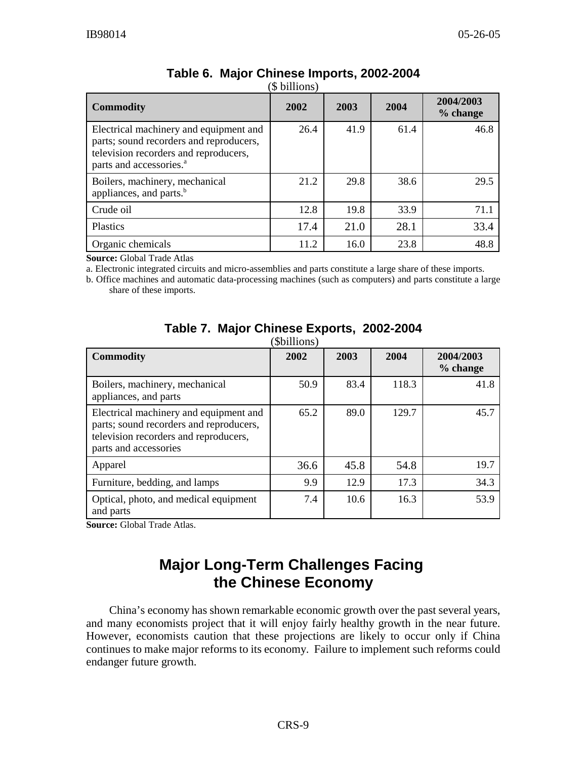| <b>Commodity</b>                                                                                                                                                  | 2002 | 2003 | 2004 | 2004/2003<br>% change |
|-------------------------------------------------------------------------------------------------------------------------------------------------------------------|------|------|------|-----------------------|
| Electrical machinery and equipment and<br>parts; sound recorders and reproducers,<br>television recorders and reproducers,<br>parts and accessories. <sup>a</sup> | 26.4 | 41.9 | 61.4 | 46.8                  |
| Boilers, machinery, mechanical<br>appliances, and parts. <sup>b</sup>                                                                                             | 21.2 | 29.8 | 38.6 | 29.5                  |
| Crude oil                                                                                                                                                         | 12.8 | 19.8 | 33.9 | 71.1                  |
| Plastics                                                                                                                                                          | 17.4 | 21.0 | 28.1 | 33.4                  |
| Organic chemicals                                                                                                                                                 | 11.2 | 16.0 | 23.8 | 48.8                  |

#### **Table 6. Major Chinese Imports, 2002-2004** (\$ billions)

**Source:** Global Trade Atlas

a. Electronic integrated circuits and micro-assemblies and parts constitute a large share of these imports.

b. Office machines and automatic data-processing machines (such as computers) and parts constitute a large share of these imports.

| (\$billions)                                                                                                                                        |      |      |       |                       |  |
|-----------------------------------------------------------------------------------------------------------------------------------------------------|------|------|-------|-----------------------|--|
| <b>Commodity</b>                                                                                                                                    | 2002 | 2003 | 2004  | 2004/2003<br>% change |  |
| Boilers, machinery, mechanical<br>appliances, and parts                                                                                             | 50.9 | 83.4 | 118.3 | 41.8                  |  |
| Electrical machinery and equipment and<br>parts; sound recorders and reproducers,<br>television recorders and reproducers,<br>parts and accessories | 65.2 | 89.0 | 129.7 | 45.7                  |  |
| Apparel                                                                                                                                             | 36.6 | 45.8 | 54.8  | 19.7                  |  |
| Furniture, bedding, and lamps                                                                                                                       | 9.9  | 12.9 | 17.3  | 34.3                  |  |
| Optical, photo, and medical equipment<br>and parts                                                                                                  | 7.4  | 10.6 | 16.3  | 53.9                  |  |

# **Table 7. Major Chinese Exports, 2002-2004**

**Source:** Global Trade Atlas.

# **Major Long-Term Challenges Facing the Chinese Economy**

China's economy has shown remarkable economic growth over the past several years, and many economists project that it will enjoy fairly healthy growth in the near future. However, economists caution that these projections are likely to occur only if China continues to make major reforms to its economy. Failure to implement such reforms could endanger future growth.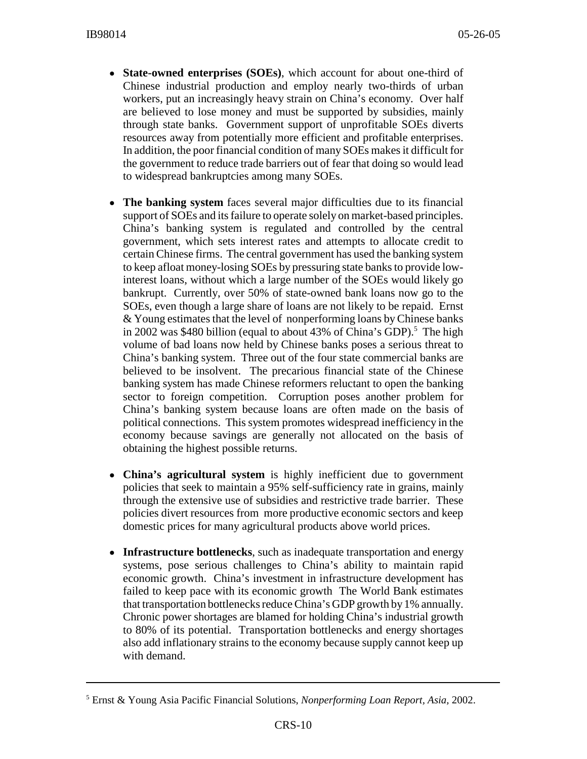- ! **State-owned enterprises (SOEs)**, which account for about one-third of Chinese industrial production and employ nearly two-thirds of urban workers, put an increasingly heavy strain on China's economy. Over half are believed to lose money and must be supported by subsidies, mainly through state banks. Government support of unprofitable SOEs diverts resources away from potentially more efficient and profitable enterprises. In addition, the poor financial condition of many SOEs makes it difficult for the government to reduce trade barriers out of fear that doing so would lead to widespread bankruptcies among many SOEs.
- **The banking system** faces several major difficulties due to its financial support of SOEs and its failure to operate solely on market-based principles. China's banking system is regulated and controlled by the central government, which sets interest rates and attempts to allocate credit to certain Chinese firms. The central government has used the banking system to keep afloat money-losing SOEs by pressuring state banks to provide lowinterest loans, without which a large number of the SOEs would likely go bankrupt. Currently, over 50% of state-owned bank loans now go to the SOEs, even though a large share of loans are not likely to be repaid. Ernst & Young estimates that the level of nonperforming loans by Chinese banks in 2002 was \$480 billion (equal to about 43% of China's GDP).<sup>5</sup> The high volume of bad loans now held by Chinese banks poses a serious threat to China's banking system. Three out of the four state commercial banks are believed to be insolvent. The precarious financial state of the Chinese banking system has made Chinese reformers reluctant to open the banking sector to foreign competition. Corruption poses another problem for China's banking system because loans are often made on the basis of political connections. This system promotes widespread inefficiency in the economy because savings are generally not allocated on the basis of obtaining the highest possible returns.
- ! **China's agricultural system** is highly inefficient due to government policies that seek to maintain a 95% self-sufficiency rate in grains, mainly through the extensive use of subsidies and restrictive trade barrier. These policies divert resources from more productive economic sectors and keep domestic prices for many agricultural products above world prices.
- ! **Infrastructure bottlenecks**, such as inadequate transportation and energy systems, pose serious challenges to China's ability to maintain rapid economic growth. China's investment in infrastructure development has failed to keep pace with its economic growth The World Bank estimates that transportation bottlenecks reduce China's GDP growth by 1% annually. Chronic power shortages are blamed for holding China's industrial growth to 80% of its potential. Transportation bottlenecks and energy shortages also add inflationary strains to the economy because supply cannot keep up with demand.

<sup>5</sup> Ernst & Young Asia Pacific Financial Solutions, *Nonperforming Loan Report, Asia,* 2002.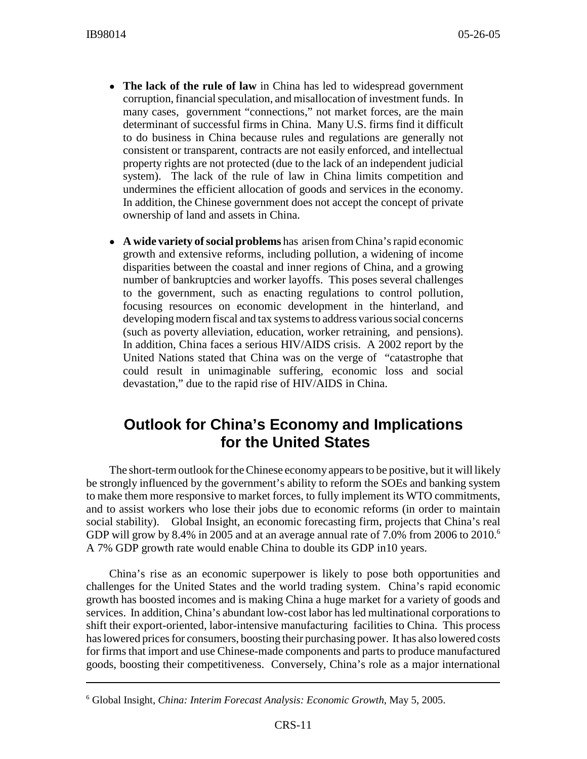- **The lack of the rule of law** in China has led to widespread government corruption, financial speculation, and misallocation of investment funds. In many cases, government "connections," not market forces, are the main determinant of successful firms in China. Many U.S. firms find it difficult to do business in China because rules and regulations are generally not consistent or transparent, contracts are not easily enforced, and intellectual property rights are not protected (due to the lack of an independent judicial system). The lack of the rule of law in China limits competition and undermines the efficient allocation of goods and services in the economy. In addition, the Chinese government does not accept the concept of private ownership of land and assets in China.
- ! **A wide variety of social problems** has arisen from China's rapid economic growth and extensive reforms, including pollution, a widening of income disparities between the coastal and inner regions of China, and a growing number of bankruptcies and worker layoffs. This poses several challenges to the government, such as enacting regulations to control pollution, focusing resources on economic development in the hinterland, and developing modern fiscal and tax systems to address various social concerns (such as poverty alleviation, education, worker retraining, and pensions). In addition, China faces a serious HIV/AIDS crisis. A 2002 report by the United Nations stated that China was on the verge of "catastrophe that could result in unimaginable suffering, economic loss and social devastation," due to the rapid rise of HIV/AIDS in China.

# **Outlook for China's Economy and Implications for the United States**

The short-term outlook for the Chinese economy appears to be positive, but it will likely be strongly influenced by the government's ability to reform the SOEs and banking system to make them more responsive to market forces, to fully implement its WTO commitments, and to assist workers who lose their jobs due to economic reforms (in order to maintain social stability). Global Insight, an economic forecasting firm, projects that China's real GDP will grow by 8.4% in 2005 and at an average annual rate of 7.0% from 2006 to 2010.<sup>6</sup> A 7% GDP growth rate would enable China to double its GDP in10 years.

China's rise as an economic superpower is likely to pose both opportunities and challenges for the United States and the world trading system. China's rapid economic growth has boosted incomes and is making China a huge market for a variety of goods and services. In addition, China's abundant low-cost labor has led multinational corporations to shift their export-oriented, labor-intensive manufacturing facilities to China. This process has lowered prices for consumers, boosting their purchasing power. It has also lowered costs for firms that import and use Chinese-made components and parts to produce manufactured goods, boosting their competitiveness. Conversely, China's role as a major international

<sup>6</sup> Global Insight, *China: Interim Forecast Analysis: Economic Growth*, May 5, 2005.